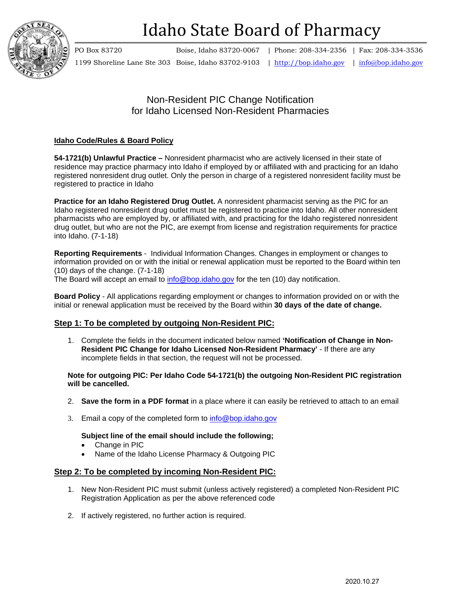

# Idaho State Board of Pharmacy

PO Box 83720 Boise, Idaho 83720-0067 | Phone: 208-334-2356 | Fax: 208-334-3536 1199 Shoreline Lane Ste 303 Boise, Idaho 83702-9103 | http://bop.idaho.gov | info@bop.idaho.gov

## Non-Resident PIC Change Notification for Idaho Licensed Non-Resident Pharmacies

### **Idaho Code/Rules & Board Policy**

**54-1721(b) Unlawful Practice –** Nonresident pharmacist who are actively licensed in their state of residence may practice pharmacy into Idaho if employed by or affiliated with and practicing for an Idaho registered nonresident drug outlet. Only the person in charge of a registered nonresident facility must be registered to practice in Idaho

**Practice for an Idaho Registered Drug Outlet.** A nonresident pharmacist serving as the PIC for an Idaho registered nonresident drug outlet must be registered to practice into Idaho. All other nonresident pharmacists who are employed by, or affiliated with, and practicing for the Idaho registered nonresident drug outlet, but who are not the PIC, are exempt from license and registration requirements for practice into Idaho. (7-1-18)

**Reporting Requirements** - Individual Information Changes. Changes in employment or changes to information provided on or with the initial or renewal application must be reported to the Board within ten (10) days of the change. (7-1-18)

The Board will accept an email to info@bop.idaho.gov for the ten (10) day notification.

**Board Policy** - All applications regarding employment or changes to information provided on or with the initial or renewal application must be received by the Board within **30 days of the date of change.** 

#### **Step 1: To be completed by outgoing Non-Resident PIC:**

1. Complete the fields in the document indicated below named **'Notification of Change in Non-Resident PIC Change for Idaho Licensed Non-Resident Pharmacy'** - If there are any incomplete fields in that section, the request will not be processed.

**Note for outgoing PIC: Per Idaho Code 54-1721(b) the outgoing Non-Resident PIC registration will be cancelled.** 

- 2. **Save the form in a PDF format** in a place where it can easily be retrieved to attach to an email
- 3. Email a copy of the completed form to info@bop.idaho.gov

**Subject line of the email should include the following;**

- Change in PIC
- Name of the Idaho License Pharmacy & Outgoing PIC

#### **Step 2: To be completed by incoming Non-Resident PIC:**

- 1. New Non-Resident PIC must submit (unless actively registered) a completed Non-Resident PIC Registration Application as per the above referenced code
- 2. If actively registered, no further action is required.